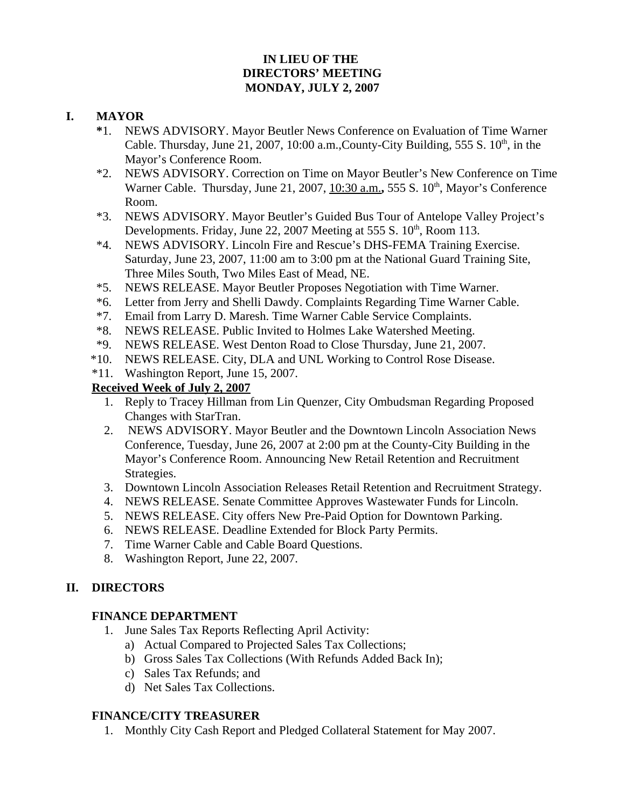# **IN LIEU OF THE DIRECTORS' MEETING MONDAY, JULY 2, 2007**

## **I. MAYOR**

- **\***1. NEWS ADVISORY. Mayor Beutler News Conference on Evaluation of Time Warner Cable. Thursday, June 21, 2007, 10:00 a.m., County-City Building, 555 S.  $10<sup>th</sup>$ , in the Mayor's Conference Room.
- \*2. NEWS ADVISORY. Correction on Time on Mayor Beutler's New Conference on Time Warner Cable. Thursday, June 21, 2007, 10:30 a.m., 555 S. 10<sup>th</sup>, Mayor's Conference Room.
- \*3. NEWS ADVISORY. Mayor Beutler's Guided Bus Tour of Antelope Valley Project's Developments. Friday, June 22, 2007 Meeting at 555 S.  $10^{th}$ , Room 113.
- \*4. NEWS ADVISORY. Lincoln Fire and Rescue's DHS-FEMA Training Exercise. Saturday, June 23, 2007, 11:00 am to 3:00 pm at the National Guard Training Site, Three Miles South, Two Miles East of Mead, NE.
- \*5. NEWS RELEASE. Mayor Beutler Proposes Negotiation with Time Warner.
- \*6. Letter from Jerry and Shelli Dawdy. Complaints Regarding Time Warner Cable.
- \*7. Email from Larry D. Maresh. Time Warner Cable Service Complaints.
- \*8. NEWS RELEASE. Public Invited to Holmes Lake Watershed Meeting.
- \*9. NEWS RELEASE. West Denton Road to Close Thursday, June 21, 2007.
- \*10. NEWS RELEASE. City, DLA and UNL Working to Control Rose Disease.
- \*11. Washington Report, June 15, 2007.

# **Received Week of July 2, 2007**

- 1. Reply to Tracey Hillman from Lin Quenzer, City Ombudsman Regarding Proposed Changes with StarTran.
- 2. NEWS ADVISORY. Mayor Beutler and the Downtown Lincoln Association News Conference, Tuesday, June 26, 2007 at 2:00 pm at the County-City Building in the Mayor's Conference Room. Announcing New Retail Retention and Recruitment Strategies.
- 3. Downtown Lincoln Association Releases Retail Retention and Recruitment Strategy.
- 4. NEWS RELEASE. Senate Committee Approves Wastewater Funds for Lincoln.
- 5. NEWS RELEASE. City offers New Pre-Paid Option for Downtown Parking.
- 6. NEWS RELEASE. Deadline Extended for Block Party Permits.
- 7. Time Warner Cable and Cable Board Questions.
- 8. Washington Report, June 22, 2007.

# **II. DIRECTORS**

### **FINANCE DEPARTMENT**

- 1. June Sales Tax Reports Reflecting April Activity:
	- a) Actual Compared to Projected Sales Tax Collections;
	- b) Gross Sales Tax Collections (With Refunds Added Back In);
	- c) Sales Tax Refunds; and
	- d) Net Sales Tax Collections.

# **FINANCE/CITY TREASURER**

1. Monthly City Cash Report and Pledged Collateral Statement for May 2007.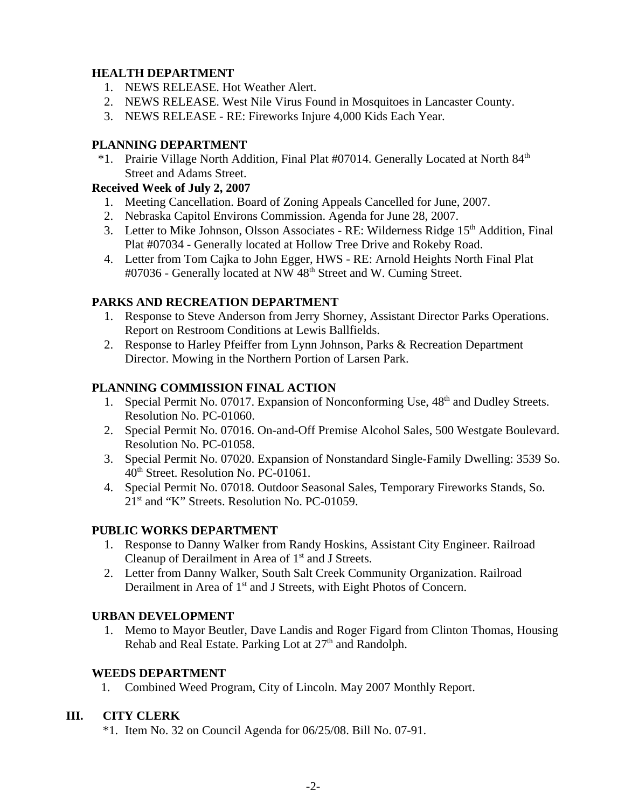## **HEALTH DEPARTMENT**

- 1. NEWS RELEASE. Hot Weather Alert.
- 2. NEWS RELEASE. West Nile Virus Found in Mosquitoes in Lancaster County.
- 3. NEWS RELEASE RE: Fireworks Injure 4,000 Kids Each Year.

### **PLANNING DEPARTMENT**

 \*1. Prairie Village North Addition, Final Plat #07014. Generally Located at North 84th Street and Adams Street.

### **Received Week of July 2, 2007**

- 1. Meeting Cancellation. Board of Zoning Appeals Cancelled for June, 2007.
- 2. Nebraska Capitol Environs Commission. Agenda for June 28, 2007.
- 3. Letter to Mike Johnson, Olsson Associates RE: Wilderness Ridge 15<sup>th</sup> Addition, Final Plat #07034 - Generally located at Hollow Tree Drive and Rokeby Road.
- 4. Letter from Tom Cajka to John Egger, HWS RE: Arnold Heights North Final Plat #07036 - Generally located at NW 48<sup>th</sup> Street and W. Cuming Street.

### **PARKS AND RECREATION DEPARTMENT**

- 1. Response to Steve Anderson from Jerry Shorney, Assistant Director Parks Operations. Report on Restroom Conditions at Lewis Ballfields.
- 2. Response to Harley Pfeiffer from Lynn Johnson, Parks & Recreation Department Director. Mowing in the Northern Portion of Larsen Park.

## **PLANNING COMMISSION FINAL ACTION**

- 1. Special Permit No. 07017. Expansion of Nonconforming Use, 48<sup>th</sup> and Dudley Streets. Resolution No. PC-01060.
- 2. Special Permit No. 07016. On-and-Off Premise Alcohol Sales, 500 Westgate Boulevard. Resolution No. PC-01058.
- 3. Special Permit No. 07020. Expansion of Nonstandard Single-Family Dwelling: 3539 So. 40<sup>th</sup> Street. Resolution No. PC-01061.
- 4. Special Permit No. 07018. Outdoor Seasonal Sales, Temporary Fireworks Stands, So. 21<sup>st</sup> and "K" Streets. Resolution No. PC-01059.

### **PUBLIC WORKS DEPARTMENT**

- 1. Response to Danny Walker from Randy Hoskins, Assistant City Engineer. Railroad Cleanup of Derailment in Area of  $1<sup>st</sup>$  and J Streets.
- 2. Letter from Danny Walker, South Salt Creek Community Organization. Railroad Derailment in Area of 1<sup>st</sup> and J Streets, with Eight Photos of Concern.

### **URBAN DEVELOPMENT**

 1. Memo to Mayor Beutler, Dave Landis and Roger Figard from Clinton Thomas, Housing Rehab and Real Estate. Parking Lot at  $27<sup>th</sup>$  and Randolph.

### **WEEDS DEPARTMENT**

1. Combined Weed Program, City of Lincoln. May 2007 Monthly Report.

### **III. CITY CLERK**

\*1. Item No. 32 on Council Agenda for 06/25/08. Bill No. 07-91.